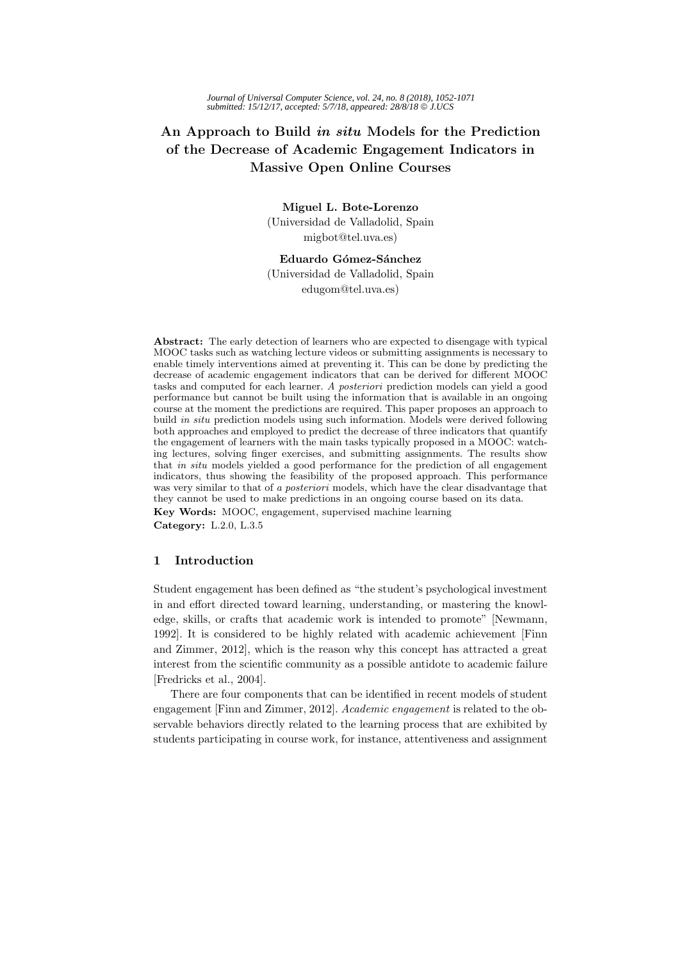# **An Approach to Build in situ Models for the Prediction of the Decrease of Academic Engagement Indicators in Massive Open Online Courses**

**Miguel L. Bote-Lorenzo** (Universidad de Valladolid, Spain migbot@tel.uva.es)

Eduardo Gómez-Sánchez (Universidad de Valladolid, Spain edugom@tel.uva.es)

**Abstract:** The early detection of learners who are expected to disengage with typical MOOC tasks such as watching lecture videos or submitting assignments is necessary to enable timely interventions aimed at preventing it. This can be done by predicting the decrease of academic engagement indicators that can be derived for different MOOC tasks and computed for each learner. A posteriori prediction models can yield a good performance but cannot be built using the information that is available in an ongoing course at the moment the predictions are required. This paper proposes an approach to build in situ prediction models using such information. Models were derived following both approaches and employed to predict the decrease of three indicators that quantify the engagement of learners with the main tasks typically proposed in a MOOC: watching lectures, solving finger exercises, and submitting assignments. The results show that in situ models yielded a good performance for the prediction of all engagement indicators, thus showing the feasibility of the proposed approach. This performance was very similar to that of a posteriori models, which have the clear disadvantage that they cannot be used to make predictions in an ongoing course based on its data.

**Key Words:** MOOC, engagement, supervised machine learning **Category:** L.2.0, L.3.5

## **1 Introduction**

Student engagement has been defined as "the student's psychological investment in and effort directed toward learning, understanding, or mastering the knowledge, skills, or crafts that academic work is intended to promote" [Newmann, 1992]. It is considered to be highly related with academic achievement [Finn and Zimmer, 2012], which is the reason why this concept has attracted a great interest from the scientific community as a possible antidote to academic failure [Fredricks et al., 2004].

There are four components that can be identified in recent models of student engagement [Finn and Zimmer, 2012]. Academic engagement is related to the observable behaviors directly related to the learning process that are exhibited by students participating in course work, for instance, attentiveness and assignment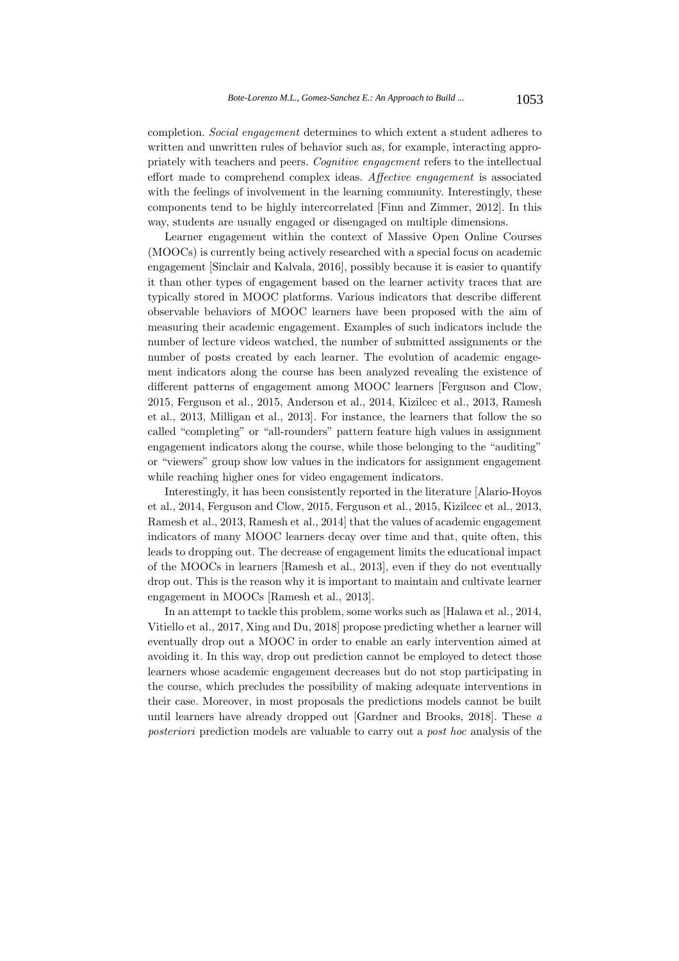completion. Social engagement determines to which extent a student adheres to written and unwritten rules of behavior such as, for example, interacting appropriately with teachers and peers. Cognitive engagement refers to the intellectual effort made to comprehend complex ideas. Affective engagement is associated with the feelings of involvement in the learning community. Interestingly, these components tend to be highly intercorrelated [Finn and Zimmer, 2012]. In this way, students are usually engaged or disengaged on multiple dimensions.

Learner engagement within the context of Massive Open Online Courses (MOOCs) is currently being actively researched with a special focus on academic engagement [Sinclair and Kalvala, 2016], possibly because it is easier to quantify it than other types of engagement based on the learner activity traces that are typically stored in MOOC platforms. Various indicators that describe different observable behaviors of MOOC learners have been proposed with the aim of measuring their academic engagement. Examples of such indicators include the number of lecture videos watched, the number of submitted assignments or the number of posts created by each learner. The evolution of academic engagement indicators along the course has been analyzed revealing the existence of different patterns of engagement among MOOC learners [Ferguson and Clow, 2015, Ferguson et al., 2015, Anderson et al., 2014, Kizilcec et al., 2013, Ramesh et al., 2013, Milligan et al., 2013]. For instance, the learners that follow the so called "completing" or "all-rounders" pattern feature high values in assignment engagement indicators along the course, while those belonging to the "auditing" or "viewers" group show low values in the indicators for assignment engagement while reaching higher ones for video engagement indicators.

Interestingly, it has been consistently reported in the literature [Alario-Hoyos et al., 2014, Ferguson and Clow, 2015, Ferguson et al., 2015, Kizilcec et al., 2013, Ramesh et al., 2013, Ramesh et al., 2014] that the values of academic engagement indicators of many MOOC learners decay over time and that, quite often, this leads to dropping out. The decrease of engagement limits the educational impact of the MOOCs in learners [Ramesh et al., 2013], even if they do not eventually drop out. This is the reason why it is important to maintain and cultivate learner engagement in MOOCs [Ramesh et al., 2013].

In an attempt to tackle this problem, some works such as [Halawa et al., 2014, Vitiello et al., 2017, Xing and Du, 2018] propose predicting whether a learner will eventually drop out a MOOC in order to enable an early intervention aimed at avoiding it. In this way, drop out prediction cannot be employed to detect those learners whose academic engagement decreases but do not stop participating in the course, which precludes the possibility of making adequate interventions in their case. Moreover, in most proposals the predictions models cannot be built until learners have already dropped out [Gardner and Brooks, 2018]. These a posteriori prediction models are valuable to carry out a post hoc analysis of the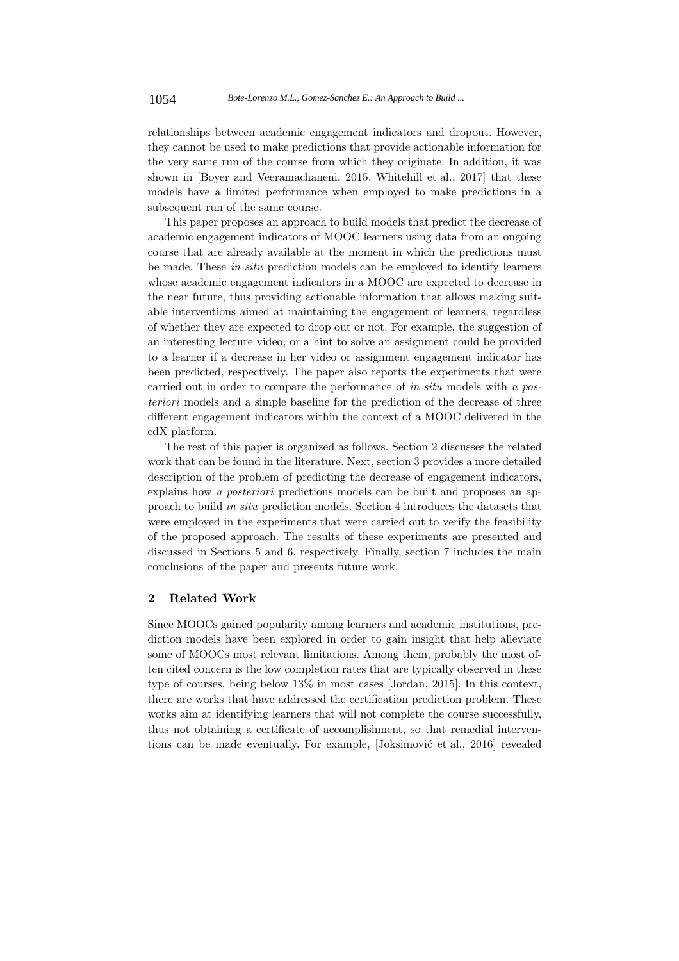relationships between academic engagement indicators and dropout. However, they cannot be used to make predictions that provide actionable information for the very same run of the course from which they originate. In addition, it was shown in [Boyer and Veeramachaneni, 2015, Whitehill et al., 2017] that these models have a limited performance when employed to make predictions in a subsequent run of the same course.

This paper proposes an approach to build models that predict the decrease of academic engagement indicators of MOOC learners using data from an ongoing course that are already available at the moment in which the predictions must be made. These in situ prediction models can be employed to identify learners whose academic engagement indicators in a MOOC are expected to decrease in the near future, thus providing actionable information that allows making suitable interventions aimed at maintaining the engagement of learners, regardless of whether they are expected to drop out or not. For example, the suggestion of an interesting lecture video, or a hint to solve an assignment could be provided to a learner if a decrease in her video or assignment engagement indicator has been predicted, respectively. The paper also reports the experiments that were carried out in order to compare the performance of in situ models with a posteriori models and a simple baseline for the prediction of the decrease of three different engagement indicators within the context of a MOOC delivered in the edX platform.

The rest of this paper is organized as follows. Section 2 discusses the related work that can be found in the literature. Next, section 3 provides a more detailed description of the problem of predicting the decrease of engagement indicators, explains how a *posteriori* predictions models can be built and proposes an approach to build in situ prediction models. Section 4 introduces the datasets that were employed in the experiments that were carried out to verify the feasibility of the proposed approach. The results of these experiments are presented and discussed in Sections 5 and 6, respectively. Finally, section 7 includes the main conclusions of the paper and presents future work.

# **2 Related Work**

Since MOOCs gained popularity among learners and academic institutions, prediction models have been explored in order to gain insight that help alleviate some of MOOCs most relevant limitations. Among them, probably the most often cited concern is the low completion rates that are typically observed in these type of courses, being below 13% in most cases [Jordan, 2015]. In this context, there are works that have addressed the certification prediction problem. These works aim at identifying learners that will not complete the course successfully, thus not obtaining a certificate of accomplishment, so that remedial interventions can be made eventually. For example, [Joksimović et al., 2016] revealed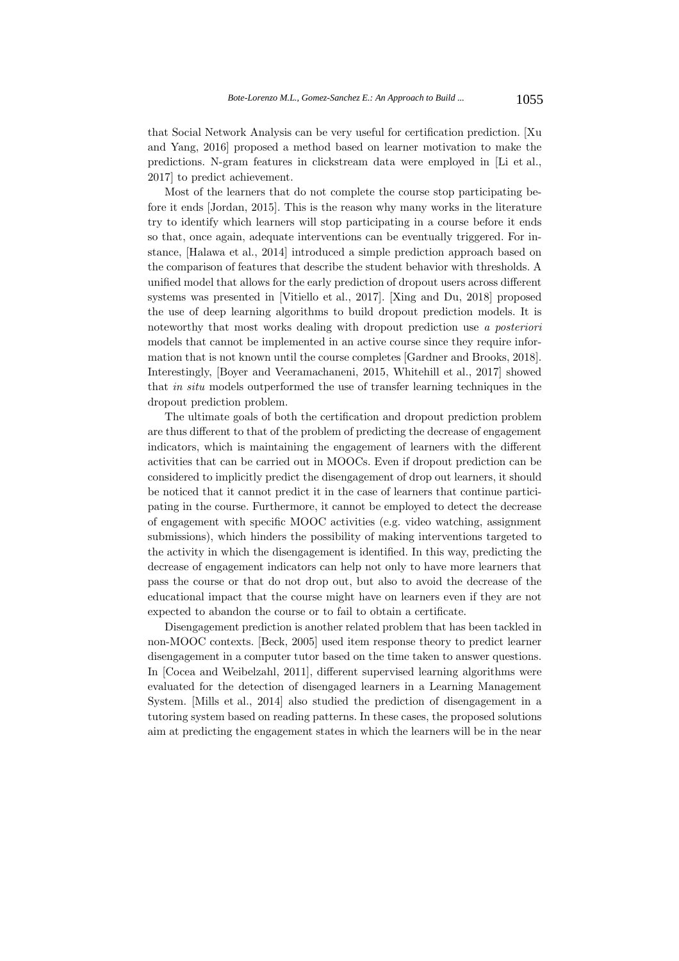that Social Network Analysis can be very useful for certification prediction. [Xu and Yang, 2016] proposed a method based on learner motivation to make the predictions. N-gram features in clickstream data were employed in [Li et al., 2017] to predict achievement.

Most of the learners that do not complete the course stop participating before it ends [Jordan, 2015]. This is the reason why many works in the literature try to identify which learners will stop participating in a course before it ends so that, once again, adequate interventions can be eventually triggered. For instance, [Halawa et al., 2014] introduced a simple prediction approach based on the comparison of features that describe the student behavior with thresholds. A unified model that allows for the early prediction of dropout users across different systems was presented in [Vitiello et al., 2017]. [Xing and Du, 2018] proposed the use of deep learning algorithms to build dropout prediction models. It is noteworthy that most works dealing with dropout prediction use a posteriori models that cannot be implemented in an active course since they require information that is not known until the course completes [Gardner and Brooks, 2018]. Interestingly, [Boyer and Veeramachaneni, 2015, Whitehill et al., 2017] showed that in situ models outperformed the use of transfer learning techniques in the dropout prediction problem.

The ultimate goals of both the certification and dropout prediction problem are thus different to that of the problem of predicting the decrease of engagement indicators, which is maintaining the engagement of learners with the different activities that can be carried out in MOOCs. Even if dropout prediction can be considered to implicitly predict the disengagement of drop out learners, it should be noticed that it cannot predict it in the case of learners that continue participating in the course. Furthermore, it cannot be employed to detect the decrease of engagement with specific MOOC activities (e.g. video watching, assignment submissions), which hinders the possibility of making interventions targeted to the activity in which the disengagement is identified. In this way, predicting the decrease of engagement indicators can help not only to have more learners that pass the course or that do not drop out, but also to avoid the decrease of the educational impact that the course might have on learners even if they are not expected to abandon the course or to fail to obtain a certificate.

Disengagement prediction is another related problem that has been tackled in non-MOOC contexts. [Beck, 2005] used item response theory to predict learner disengagement in a computer tutor based on the time taken to answer questions. In [Cocea and Weibelzahl, 2011], different supervised learning algorithms were evaluated for the detection of disengaged learners in a Learning Management System. [Mills et al., 2014] also studied the prediction of disengagement in a tutoring system based on reading patterns. In these cases, the proposed solutions aim at predicting the engagement states in which the learners will be in the near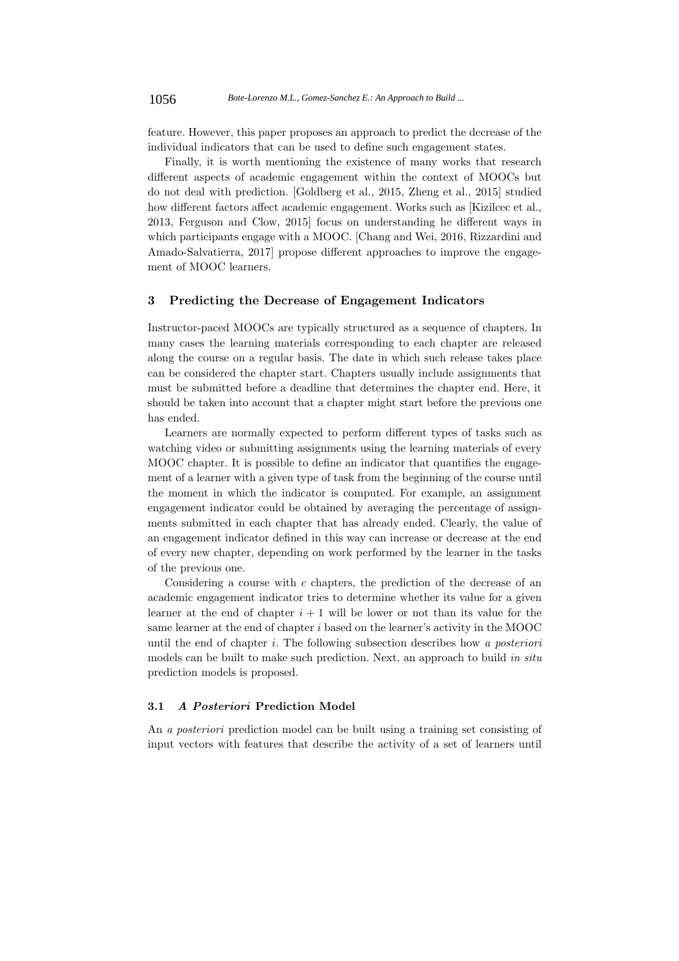feature. However, this paper proposes an approach to predict the decrease of the individual indicators that can be used to define such engagement states.

Finally, it is worth mentioning the existence of many works that research different aspects of academic engagement within the context of MOOCs but do not deal with prediction. [Goldberg et al., 2015, Zheng et al., 2015] studied how different factors affect academic engagement. Works such as [Kizilcec et al., 2013, Ferguson and Clow, 2015] focus on understanding he different ways in which participants engage with a MOOC. [Chang and Wei, 2016, Rizzardini and Amado-Salvatierra, 2017] propose different approaches to improve the engagement of MOOC learners.

### **3 Predicting the Decrease of Engagement Indicators**

Instructor-paced MOOCs are typically structured as a sequence of chapters. In many cases the learning materials corresponding to each chapter are released along the course on a regular basis. The date in which such release takes place can be considered the chapter start. Chapters usually include assignments that must be submitted before a deadline that determines the chapter end. Here, it should be taken into account that a chapter might start before the previous one has ended.

Learners are normally expected to perform different types of tasks such as watching video or submitting assignments using the learning materials of every MOOC chapter. It is possible to define an indicator that quantifies the engagement of a learner with a given type of task from the beginning of the course until the moment in which the indicator is computed. For example, an assignment engagement indicator could be obtained by averaging the percentage of assignments submitted in each chapter that has already ended. Clearly, the value of an engagement indicator defined in this way can increase or decrease at the end of every new chapter, depending on work performed by the learner in the tasks of the previous one.

Considering a course with  $c$  chapters, the prediction of the decrease of an academic engagement indicator tries to determine whether its value for a given learner at the end of chapter  $i + 1$  will be lower or not than its value for the same learner at the end of chapter i based on the learner's activity in the MOOC until the end of chapter  $i$ . The following subsection describes how a posteriori models can be built to make such prediction. Next, an approach to build in situ prediction models is proposed.

# **3.1 A Posteriori Prediction Model**

An a posteriori prediction model can be built using a training set consisting of input vectors with features that describe the activity of a set of learners until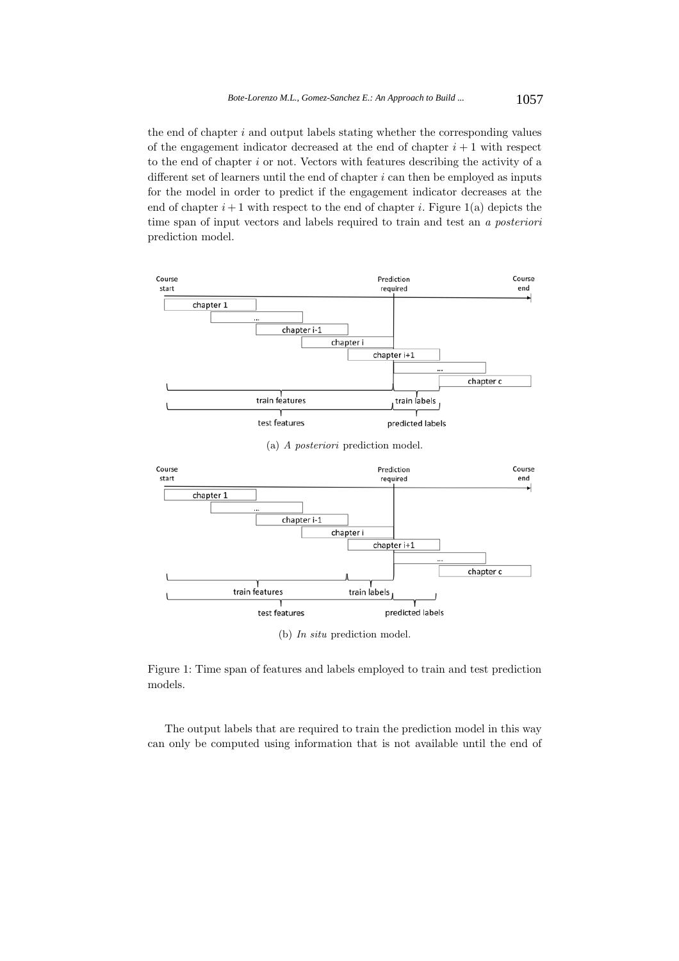the end of chapter  $i$  and output labels stating whether the corresponding values of the engagement indicator decreased at the end of chapter  $i + 1$  with respect to the end of chapter  $i$  or not. Vectors with features describing the activity of a different set of learners until the end of chapter  $i$  can then be employed as inputs for the model in order to predict if the engagement indicator decreases at the end of chapter  $i+1$  with respect to the end of chapter i. Figure 1(a) depicts the time span of input vectors and labels required to train and test an a posteriori prediction model.



Figure 1: Time span of features and labels employed to train and test prediction models.

The output labels that are required to train the prediction model in this way can only be computed using information that is not available until the end of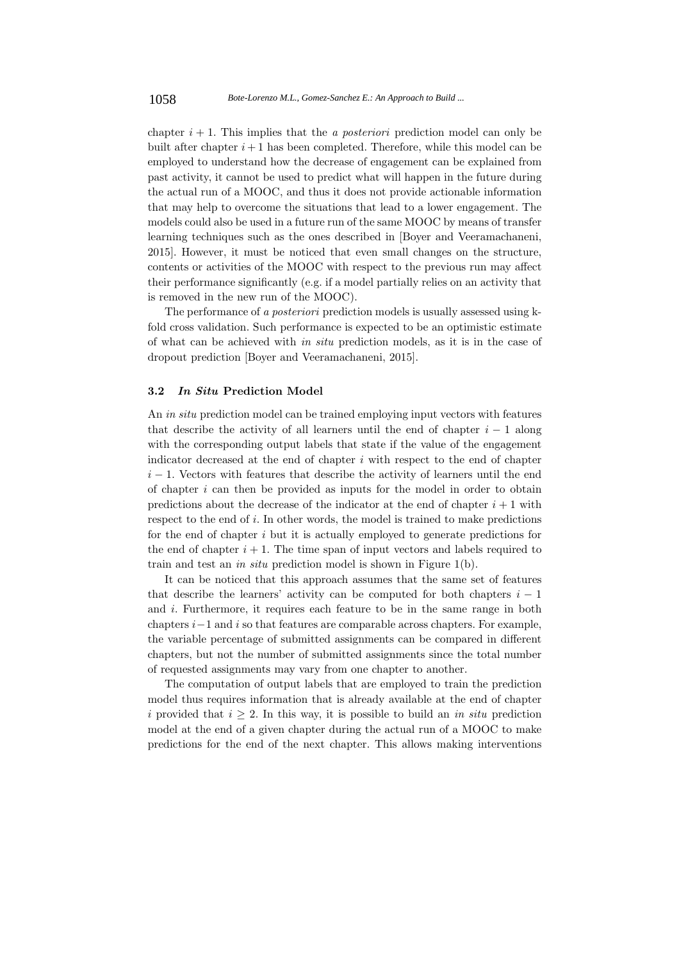chapter  $i + 1$ . This implies that the *a posteriori* prediction model can only be built after chapter  $i+1$  has been completed. Therefore, while this model can be employed to understand how the decrease of engagement can be explained from past activity, it cannot be used to predict what will happen in the future during the actual run of a MOOC, and thus it does not provide actionable information that may help to overcome the situations that lead to a lower engagement. The models could also be used in a future run of the same MOOC by means of transfer learning techniques such as the ones described in [Boyer and Veeramachaneni, 2015]. However, it must be noticed that even small changes on the structure, contents or activities of the MOOC with respect to the previous run may affect their performance significantly (e.g. if a model partially relies on an activity that is removed in the new run of the MOOC).

The performance of a posteriori prediction models is usually assessed using kfold cross validation. Such performance is expected to be an optimistic estimate of what can be achieved with in situ prediction models, as it is in the case of dropout prediction [Boyer and Veeramachaneni, 2015].

### **3.2 In Situ Prediction Model**

An *in situ* prediction model can be trained employing input vectors with features that describe the activity of all learners until the end of chapter  $i - 1$  along with the corresponding output labels that state if the value of the engagement indicator decreased at the end of chapter  $i$  with respect to the end of chapter  $i - 1$ . Vectors with features that describe the activity of learners until the end of chapter  $i$  can then be provided as inputs for the model in order to obtain predictions about the decrease of the indicator at the end of chapter  $i + 1$  with respect to the end of i. In other words, the model is trained to make predictions for the end of chapter i but it is actually employed to generate predictions for the end of chapter  $i + 1$ . The time span of input vectors and labels required to train and test an in situ prediction model is shown in Figure 1(b).

It can be noticed that this approach assumes that the same set of features that describe the learners' activity can be computed for both chapters  $i - 1$ and  $i$ . Furthermore, it requires each feature to be in the same range in both chapters  $i-1$  and i so that features are comparable across chapters. For example, the variable percentage of submitted assignments can be compared in different chapters, but not the number of submitted assignments since the total number of requested assignments may vary from one chapter to another.

The computation of output labels that are employed to train the prediction model thus requires information that is already available at the end of chapter i provided that  $i \geq 2$ . In this way, it is possible to build an in situ prediction model at the end of a given chapter during the actual run of a MOOC to make predictions for the end of the next chapter. This allows making interventions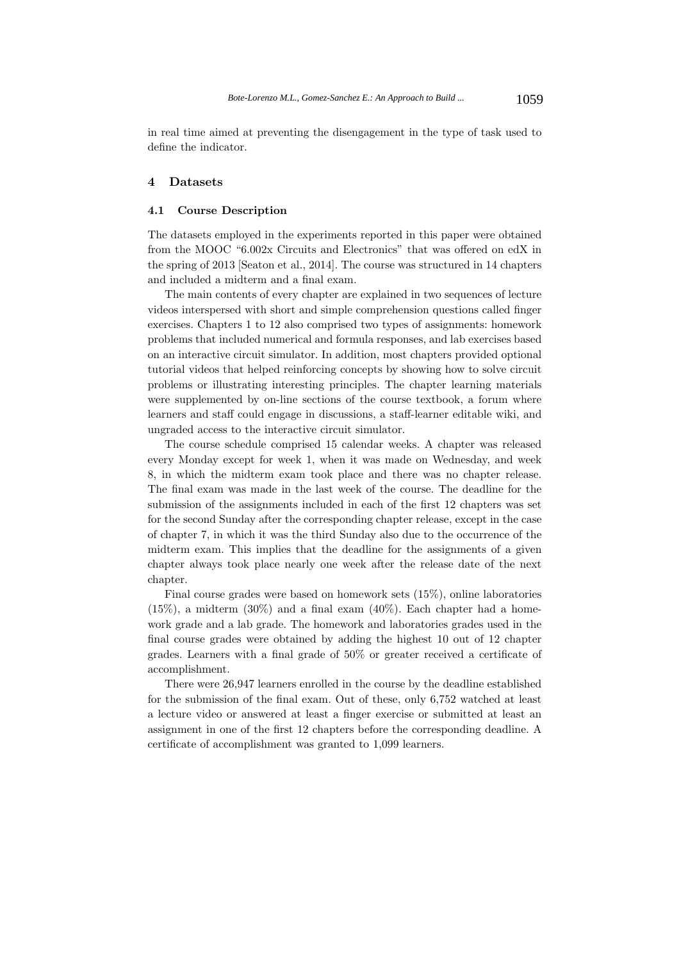in real time aimed at preventing the disengagement in the type of task used to define the indicator.

# **4 Datasets**

### **4.1 Course Description**

The datasets employed in the experiments reported in this paper were obtained from the MOOC "6.002x Circuits and Electronics" that was offered on edX in the spring of 2013 [Seaton et al., 2014]. The course was structured in 14 chapters and included a midterm and a final exam.

The main contents of every chapter are explained in two sequences of lecture videos interspersed with short and simple comprehension questions called finger exercises. Chapters 1 to 12 also comprised two types of assignments: homework problems that included numerical and formula responses, and lab exercises based on an interactive circuit simulator. In addition, most chapters provided optional tutorial videos that helped reinforcing concepts by showing how to solve circuit problems or illustrating interesting principles. The chapter learning materials were supplemented by on-line sections of the course textbook, a forum where learners and staff could engage in discussions, a staff-learner editable wiki, and ungraded access to the interactive circuit simulator.

The course schedule comprised 15 calendar weeks. A chapter was released every Monday except for week 1, when it was made on Wednesday, and week 8, in which the midterm exam took place and there was no chapter release. The final exam was made in the last week of the course. The deadline for the submission of the assignments included in each of the first 12 chapters was set for the second Sunday after the corresponding chapter release, except in the case of chapter 7, in which it was the third Sunday also due to the occurrence of the midterm exam. This implies that the deadline for the assignments of a given chapter always took place nearly one week after the release date of the next chapter.

Final course grades were based on homework sets (15%), online laboratories  $(15\%)$ , a midterm  $(30\%)$  and a final exam  $(40\%)$ . Each chapter had a homework grade and a lab grade. The homework and laboratories grades used in the final course grades were obtained by adding the highest 10 out of 12 chapter grades. Learners with a final grade of 50% or greater received a certificate of accomplishment.

There were 26,947 learners enrolled in the course by the deadline established for the submission of the final exam. Out of these, only 6,752 watched at least a lecture video or answered at least a finger exercise or submitted at least an assignment in one of the first 12 chapters before the corresponding deadline. A certificate of accomplishment was granted to 1,099 learners.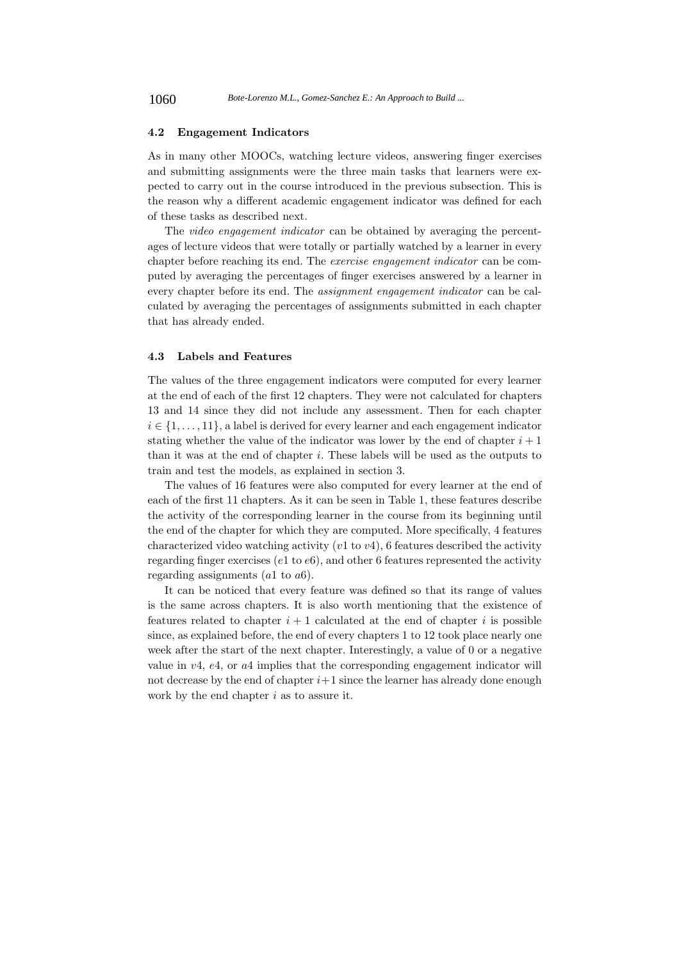#### **4.2 Engagement Indicators**

As in many other MOOCs, watching lecture videos, answering finger exercises and submitting assignments were the three main tasks that learners were expected to carry out in the course introduced in the previous subsection. This is the reason why a different academic engagement indicator was defined for each of these tasks as described next.

The video engagement indicator can be obtained by averaging the percentages of lecture videos that were totally or partially watched by a learner in every chapter before reaching its end. The exercise engagement indicator can be computed by averaging the percentages of finger exercises answered by a learner in every chapter before its end. The assignment engagement indicator can be calculated by averaging the percentages of assignments submitted in each chapter that has already ended.

## **4.3 Labels and Features**

The values of the three engagement indicators were computed for every learner at the end of each of the first 12 chapters. They were not calculated for chapters 13 and 14 since they did not include any assessment. Then for each chapter  $i \in \{1,\ldots,11\}$ , a label is derived for every learner and each engagement indicator stating whether the value of the indicator was lower by the end of chapter  $i + 1$ than it was at the end of chapter  $i$ . These labels will be used as the outputs to train and test the models, as explained in section 3.

The values of 16 features were also computed for every learner at the end of each of the first 11 chapters. As it can be seen in Table 1, these features describe the activity of the corresponding learner in the course from its beginning until the end of the chapter for which they are computed. More specifically, 4 features characterized video watching activity  $(v1 \text{ to } v4)$ , 6 features described the activity regarding finger exercises ( $e1$  to  $e6$ ), and other 6 features represented the activity regarding assignments  $(a1 \text{ to } a6)$ .

It can be noticed that every feature was defined so that its range of values is the same across chapters. It is also worth mentioning that the existence of features related to chapter  $i + 1$  calculated at the end of chapter i is possible since, as explained before, the end of every chapters 1 to 12 took place nearly one week after the start of the next chapter. Interestingly, a value of 0 or a negative value in v4, e4, or a4 implies that the corresponding engagement indicator will not decrease by the end of chapter  $i+1$  since the learner has already done enough work by the end chapter  $i$  as to assure it.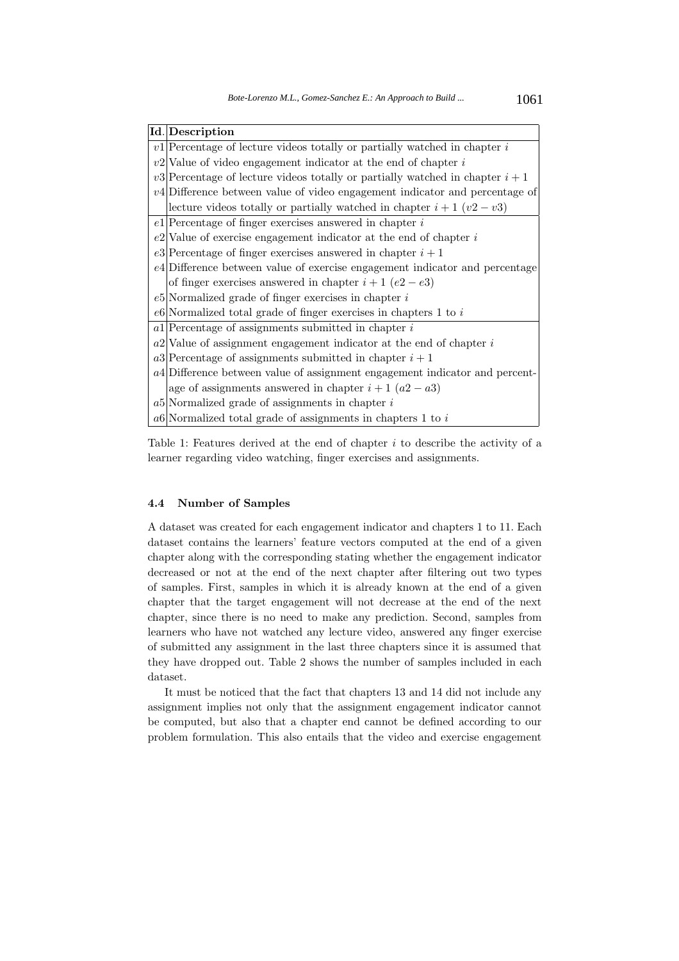| Id. Description                                                                 |
|---------------------------------------------------------------------------------|
| $v1$ Percentage of lecture videos totally or partially watched in chapter i     |
| $v2$ Value of video engagement indicator at the end of chapter i                |
| $v3$ Percentage of lecture videos totally or partially watched in chapter $i+1$ |
| $v^4$ Difference between value of video engagement indicator and percentage of  |
| lecture videos totally or partially watched in chapter $i+1$ $(v2-v3)$          |
| $e1$ Percentage of finger exercises answered in chapter i                       |
| $e2$ Value of exercise engagement indicator at the end of chapter $i$           |
| e3 Percentage of finger exercises answered in chapter $i+1$                     |
| e4 Difference between value of exercise engagement indicator and percentage     |
| of finger exercises answered in chapter $i + 1$ (e2 – e3)                       |
| $e5$ Normalized grade of finger exercises in chapter $i$                        |
| $e6$ Normalized total grade of finger exercises in chapters 1 to i              |
| $a1$ Percentage of assignments submitted in chapter i                           |
| $a2$ Value of assignment engagement indicator at the end of chapter i           |
| a3 Percentage of assignments submitted in chapter $i+1$                         |
| a4 Difference between value of assignment engagement indicator and percent-     |
| age of assignments answered in chapter $i + 1$ $(a2 - a3)$                      |
| $a5$ Normalized grade of assignments in chapter i                               |
| $a6$ Normalized total grade of assignments in chapters 1 to i                   |

Table 1: Features derived at the end of chapter  $i$  to describe the activity of a learner regarding video watching, finger exercises and assignments.

### **4.4 Number of Samples**

A dataset was created for each engagement indicator and chapters 1 to 11. Each dataset contains the learners' feature vectors computed at the end of a given chapter along with the corresponding stating whether the engagement indicator decreased or not at the end of the next chapter after filtering out two types of samples. First, samples in which it is already known at the end of a given chapter that the target engagement will not decrease at the end of the next chapter, since there is no need to make any prediction. Second, samples from learners who have not watched any lecture video, answered any finger exercise of submitted any assignment in the last three chapters since it is assumed that they have dropped out. Table 2 shows the number of samples included in each dataset.

It must be noticed that the fact that chapters 13 and 14 did not include any assignment implies not only that the assignment engagement indicator cannot be computed, but also that a chapter end cannot be defined according to our problem formulation. This also entails that the video and exercise engagement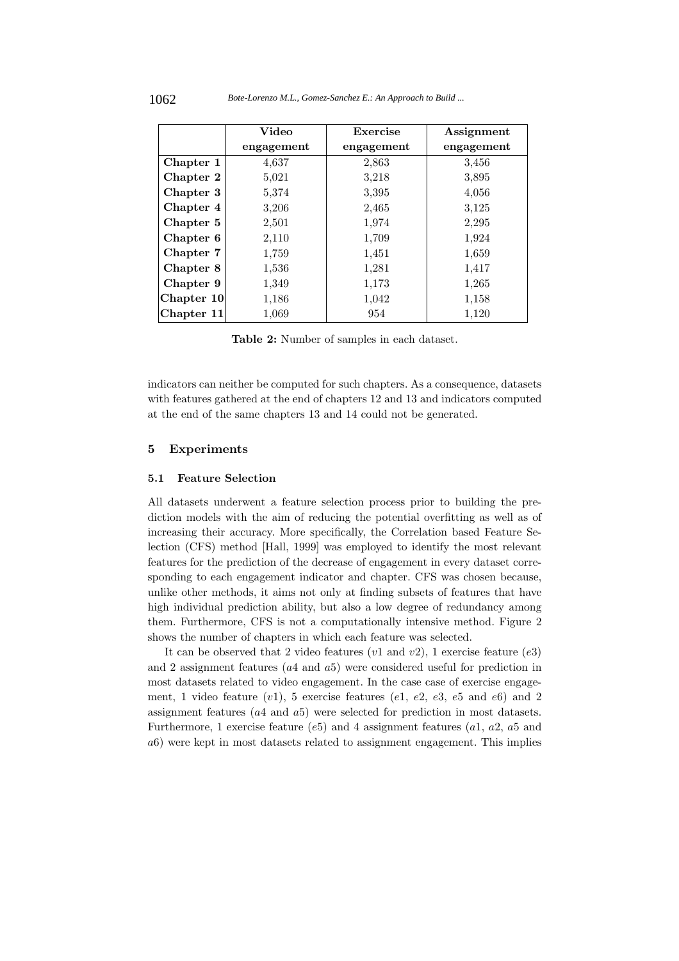|            | Video      | Exercise   | Assignment |
|------------|------------|------------|------------|
|            | engagement | engagement | engagement |
| Chapter 1  | 4,637      | 2,863      | 3,456      |
| Chapter 2  | 5,021      | 3,218      | 3,895      |
| Chapter 3  | 5,374      | 3,395      | 4,056      |
| Chapter 4  | 3,206      | 2,465      | 3,125      |
| Chapter 5  | 2,501      | 1,974      | 2,295      |
| Chapter 6  | 2,110      | 1,709      | 1,924      |
| Chapter 7  | 1,759      | 1,451      | 1,659      |
| Chapter 8  | 1,536      | 1,281      | 1,417      |
| Chapter 9  | 1,349      | 1,173      | 1,265      |
| Chapter 10 | 1,186      | 1,042      | 1,158      |
| Chapter 11 | 1,069      | 954        | 1,120      |

**Table 2:** Number of samples in each dataset.

indicators can neither be computed for such chapters. As a consequence, datasets with features gathered at the end of chapters 12 and 13 and indicators computed at the end of the same chapters 13 and 14 could not be generated.

# **5 Experiments**

## **5.1 Feature Selection**

All datasets underwent a feature selection process prior to building the prediction models with the aim of reducing the potential overfitting as well as of increasing their accuracy. More specifically, the Correlation based Feature Selection (CFS) method [Hall, 1999] was employed to identify the most relevant features for the prediction of the decrease of engagement in every dataset corresponding to each engagement indicator and chapter. CFS was chosen because, unlike other methods, it aims not only at finding subsets of features that have high individual prediction ability, but also a low degree of redundancy among them. Furthermore, CFS is not a computationally intensive method. Figure 2 shows the number of chapters in which each feature was selected.

It can be observed that 2 video features  $(v1 \text{ and } v2)$ , 1 exercise feature  $(e3)$ and 2 assignment features  $(a4 \text{ and } a5)$  were considered useful for prediction in most datasets related to video engagement. In the case case of exercise engagement, 1 video feature  $(v1)$ , 5 exercise features  $(e1, e2, e3, e5,$  and  $e6)$  and 2 assignment features (a4 and a5) were selected for prediction in most datasets. Furthermore, 1 exercise feature ( $e5$ ) and 4 assignment features ( $a1, a2, a5$  and a6) were kept in most datasets related to assignment engagement. This implies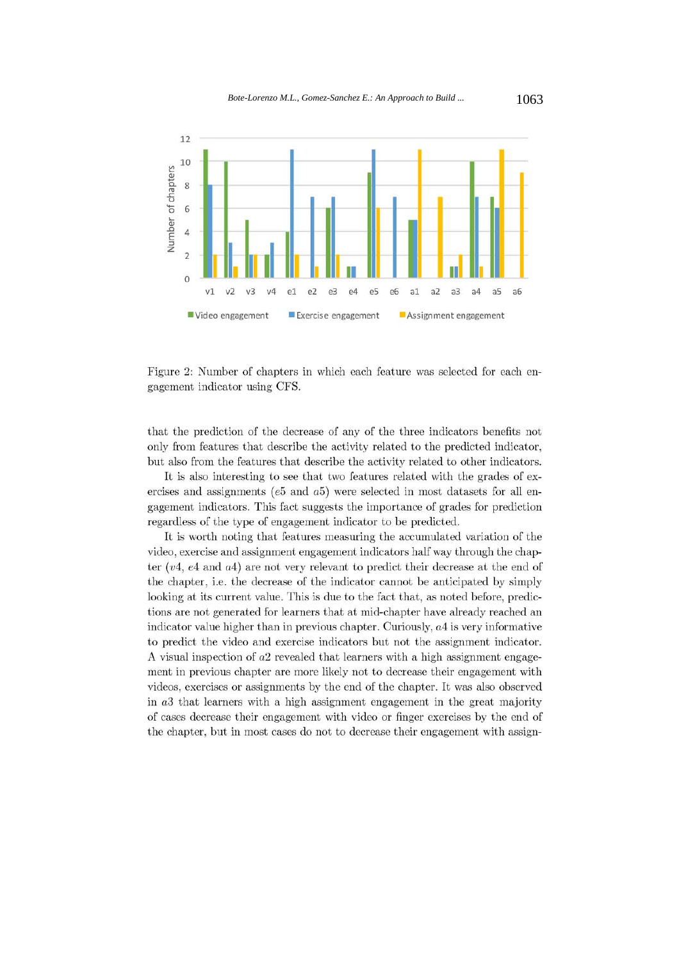

Figure 2: Number of chapters in which each feature was selected for each engagement indicator using CFS.

that the prediction of the decrease of any of the three indicators benefits not only from features that describe the activity related to the predicted indicator, but also from the features that describe the activity related to other indicators.

It is also interesting to see that two features related with the grades of exercises and assignments ( $e5$  and  $a5$ ) were selected in most datasets for all engagement indicators. This fact suggests the importance of grades for prediction regardless of the type of engagement indicator to be predicted.

It is worth noting that features measuring the accumulated variation of the video, exercise and assignment engagement indicators half way through the chapter  $(v4, e4 \text{ and } a4)$  are not very relevant to predict their decrease at the end of the chapter, i.e. the decrease of the indicator cannot be anticipated by simply looking at its current value. This is due to the fact that, as noted before, predictions are not generated for learners that at mid-chapter have already reached an indicator value higher than in previous chapter. Curiously,  $a4$  is very informative to predict the video and exercise indicators but not the assignment indicator. A visual inspection of  $a2$  revealed that learners with a high assignment engagement in previous chapter are more likely not to decrease their engagement with videos, exercises or assignments by the end of the chapter. It was also observed in a that learners with a high assignment engagement in the great majority of cases decrease their engagement with video or finger exercises by the end of the chapter, but in most cases do not to decrease their engagement with assign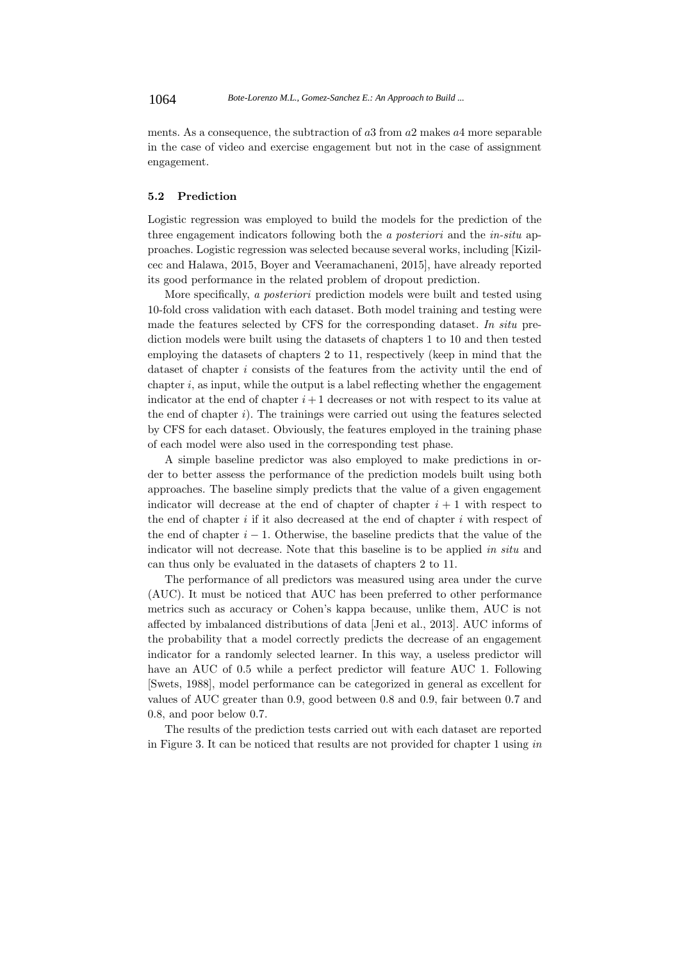ments. As a consequence, the subtraction of a3 from a2 makes a4 more separable in the case of video and exercise engagement but not in the case of assignment engagement.

# **5.2 Prediction**

Logistic regression was employed to build the models for the prediction of the three engagement indicators following both the a posteriori and the in-situ approaches. Logistic regression was selected because several works, including [Kizilcec and Halawa, 2015, Boyer and Veeramachaneni, 2015], have already reported its good performance in the related problem of dropout prediction.

More specifically, a posteriori prediction models were built and tested using 10-fold cross validation with each dataset. Both model training and testing were made the features selected by CFS for the corresponding dataset. In situ prediction models were built using the datasets of chapters 1 to 10 and then tested employing the datasets of chapters 2 to 11, respectively (keep in mind that the dataset of chapter i consists of the features from the activity until the end of chapter  $i$ , as input, while the output is a label reflecting whether the engagement indicator at the end of chapter  $i+1$  decreases or not with respect to its value at the end of chapter i). The trainings were carried out using the features selected by CFS for each dataset. Obviously, the features employed in the training phase of each model were also used in the corresponding test phase.

A simple baseline predictor was also employed to make predictions in order to better assess the performance of the prediction models built using both approaches. The baseline simply predicts that the value of a given engagement indicator will decrease at the end of chapter of chapter  $i + 1$  with respect to the end of chapter  $i$  if it also decreased at the end of chapter  $i$  with respect of the end of chapter  $i - 1$ . Otherwise, the baseline predicts that the value of the indicator will not decrease. Note that this baseline is to be applied in situ and can thus only be evaluated in the datasets of chapters 2 to 11.

The performance of all predictors was measured using area under the curve (AUC). It must be noticed that AUC has been preferred to other performance metrics such as accuracy or Cohen's kappa because, unlike them, AUC is not affected by imbalanced distributions of data [Jeni et al., 2013]. AUC informs of the probability that a model correctly predicts the decrease of an engagement indicator for a randomly selected learner. In this way, a useless predictor will have an AUC of 0.5 while a perfect predictor will feature AUC 1. Following [Swets, 1988], model performance can be categorized in general as excellent for values of AUC greater than 0.9, good between 0.8 and 0.9, fair between 0.7 and 0.8, and poor below 0.7.

The results of the prediction tests carried out with each dataset are reported in Figure 3. It can be noticed that results are not provided for chapter 1 using in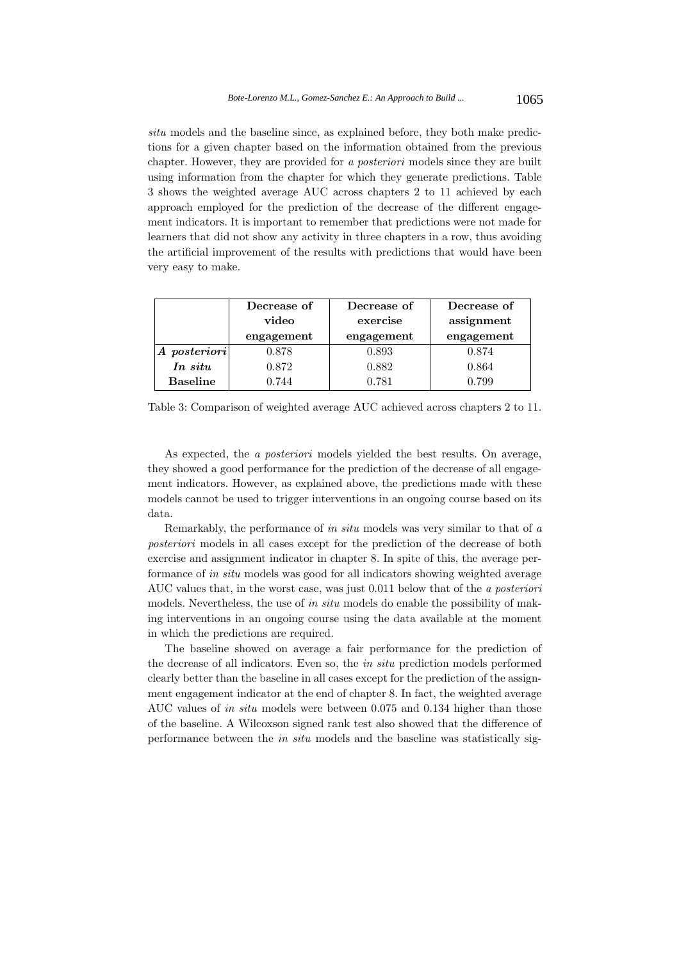situ models and the baseline since, as explained before, they both make predictions for a given chapter based on the information obtained from the previous chapter. However, they are provided for a posteriori models since they are built using information from the chapter for which they generate predictions. Table 3 shows the weighted average AUC across chapters 2 to 11 achieved by each approach employed for the prediction of the decrease of the different engagement indicators. It is important to remember that predictions were not made for learners that did not show any activity in three chapters in a row, thus avoiding the artificial improvement of the results with predictions that would have been very easy to make.

|                 | Decrease of | Decrease of | Decrease of |
|-----------------|-------------|-------------|-------------|
|                 | video       | exercise    | assignment  |
|                 | engagement  | engagement  | engagement  |
| A posteriori    | 0.878       | 0.893       | 0.874       |
| In situ         | 0.872       | 0.882       | 0.864       |
| <b>Baseline</b> | 0.744       | 0.781       | 0.799       |

Table 3: Comparison of weighted average AUC achieved across chapters 2 to 11.

As expected, the a posteriori models yielded the best results. On average, they showed a good performance for the prediction of the decrease of all engagement indicators. However, as explained above, the predictions made with these models cannot be used to trigger interventions in an ongoing course based on its data.

Remarkably, the performance of in situ models was very similar to that of a posteriori models in all cases except for the prediction of the decrease of both exercise and assignment indicator in chapter 8. In spite of this, the average performance of in situ models was good for all indicators showing weighted average AUC values that, in the worst case, was just 0.011 below that of the a posteriori models. Nevertheless, the use of in situ models do enable the possibility of making interventions in an ongoing course using the data available at the moment in which the predictions are required.

The baseline showed on average a fair performance for the prediction of the decrease of all indicators. Even so, the in situ prediction models performed clearly better than the baseline in all cases except for the prediction of the assignment engagement indicator at the end of chapter 8. In fact, the weighted average AUC values of in situ models were between 0.075 and 0.134 higher than those of the baseline. A Wilcoxson signed rank test also showed that the difference of performance between the in situ models and the baseline was statistically sig-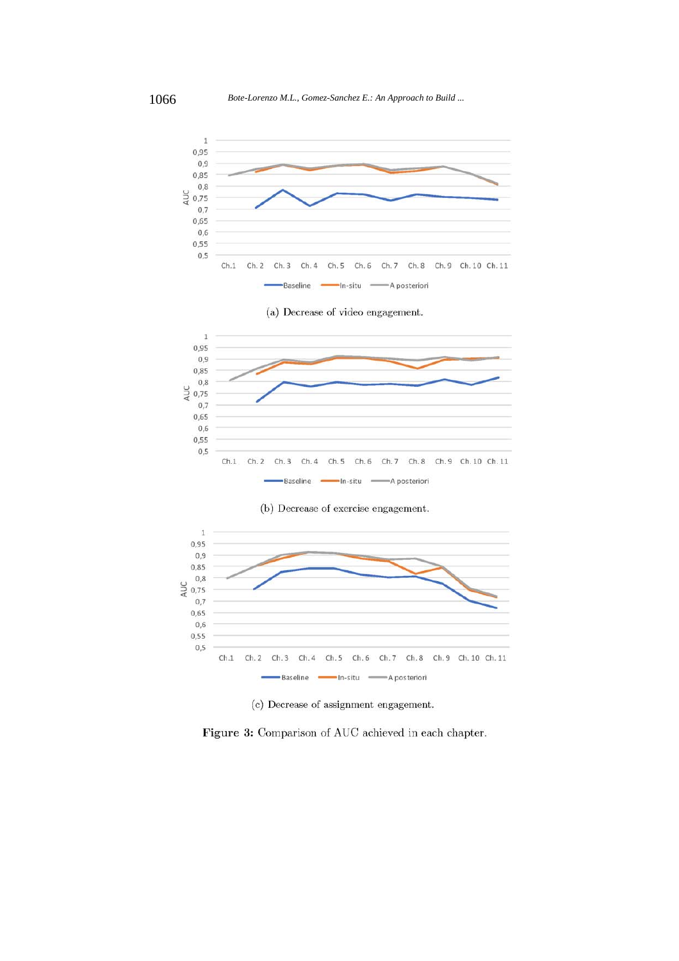









(c) Decrease of assignment engagement.

Figure 3: Comparison of AUC achieved in each chapter.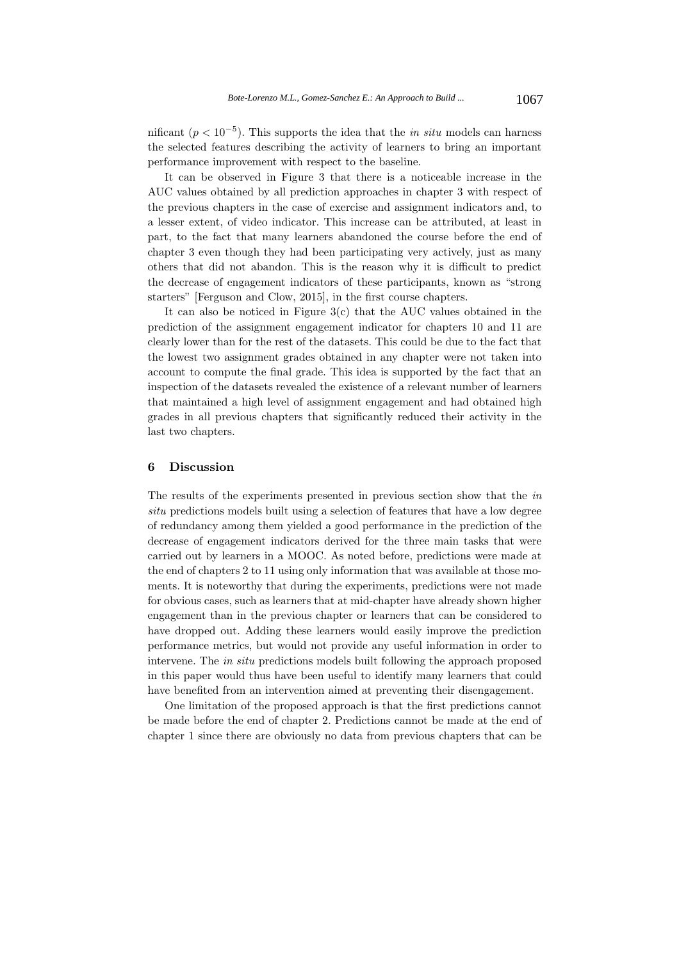nificant ( $p < 10^{-5}$ ). This supports the idea that the *in situ* models can harness the selected features describing the activity of learners to bring an important performance improvement with respect to the baseline.

It can be observed in Figure 3 that there is a noticeable increase in the AUC values obtained by all prediction approaches in chapter 3 with respect of the previous chapters in the case of exercise and assignment indicators and, to a lesser extent, of video indicator. This increase can be attributed, at least in part, to the fact that many learners abandoned the course before the end of chapter 3 even though they had been participating very actively, just as many others that did not abandon. This is the reason why it is difficult to predict the decrease of engagement indicators of these participants, known as "strong starters" [Ferguson and Clow, 2015], in the first course chapters.

It can also be noticed in Figure 3(c) that the AUC values obtained in the prediction of the assignment engagement indicator for chapters 10 and 11 are clearly lower than for the rest of the datasets. This could be due to the fact that the lowest two assignment grades obtained in any chapter were not taken into account to compute the final grade. This idea is supported by the fact that an inspection of the datasets revealed the existence of a relevant number of learners that maintained a high level of assignment engagement and had obtained high grades in all previous chapters that significantly reduced their activity in the last two chapters.

## **6 Discussion**

The results of the experiments presented in previous section show that the in situ predictions models built using a selection of features that have a low degree of redundancy among them yielded a good performance in the prediction of the decrease of engagement indicators derived for the three main tasks that were carried out by learners in a MOOC. As noted before, predictions were made at the end of chapters 2 to 11 using only information that was available at those moments. It is noteworthy that during the experiments, predictions were not made for obvious cases, such as learners that at mid-chapter have already shown higher engagement than in the previous chapter or learners that can be considered to have dropped out. Adding these learners would easily improve the prediction performance metrics, but would not provide any useful information in order to intervene. The in situ predictions models built following the approach proposed in this paper would thus have been useful to identify many learners that could have benefited from an intervention aimed at preventing their disengagement.

One limitation of the proposed approach is that the first predictions cannot be made before the end of chapter 2. Predictions cannot be made at the end of chapter 1 since there are obviously no data from previous chapters that can be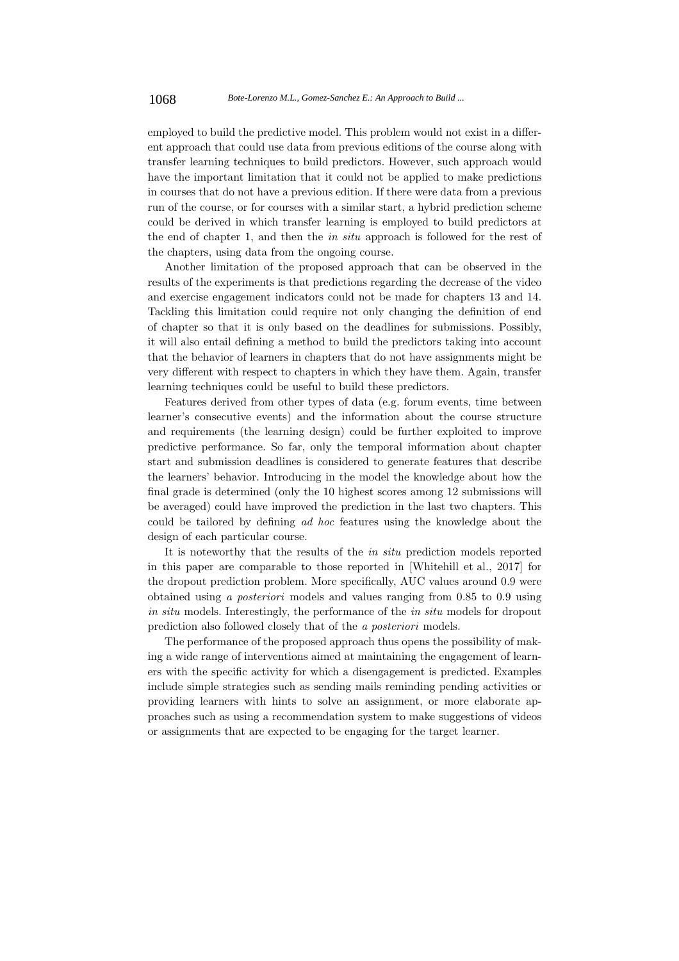employed to build the predictive model. This problem would not exist in a different approach that could use data from previous editions of the course along with transfer learning techniques to build predictors. However, such approach would have the important limitation that it could not be applied to make predictions in courses that do not have a previous edition. If there were data from a previous run of the course, or for courses with a similar start, a hybrid prediction scheme could be derived in which transfer learning is employed to build predictors at the end of chapter 1, and then the in situ approach is followed for the rest of the chapters, using data from the ongoing course.

Another limitation of the proposed approach that can be observed in the results of the experiments is that predictions regarding the decrease of the video and exercise engagement indicators could not be made for chapters 13 and 14. Tackling this limitation could require not only changing the definition of end of chapter so that it is only based on the deadlines for submissions. Possibly, it will also entail defining a method to build the predictors taking into account that the behavior of learners in chapters that do not have assignments might be very different with respect to chapters in which they have them. Again, transfer learning techniques could be useful to build these predictors.

Features derived from other types of data (e.g. forum events, time between learner's consecutive events) and the information about the course structure and requirements (the learning design) could be further exploited to improve predictive performance. So far, only the temporal information about chapter start and submission deadlines is considered to generate features that describe the learners' behavior. Introducing in the model the knowledge about how the final grade is determined (only the 10 highest scores among 12 submissions will be averaged) could have improved the prediction in the last two chapters. This could be tailored by defining ad hoc features using the knowledge about the design of each particular course.

It is noteworthy that the results of the in situ prediction models reported in this paper are comparable to those reported in [Whitehill et al., 2017] for the dropout prediction problem. More specifically, AUC values around 0.9 were obtained using a posteriori models and values ranging from 0.85 to 0.9 using in situ models. Interestingly, the performance of the in situ models for dropout prediction also followed closely that of the a posteriori models.

The performance of the proposed approach thus opens the possibility of making a wide range of interventions aimed at maintaining the engagement of learners with the specific activity for which a disengagement is predicted. Examples include simple strategies such as sending mails reminding pending activities or providing learners with hints to solve an assignment, or more elaborate approaches such as using a recommendation system to make suggestions of videos or assignments that are expected to be engaging for the target learner.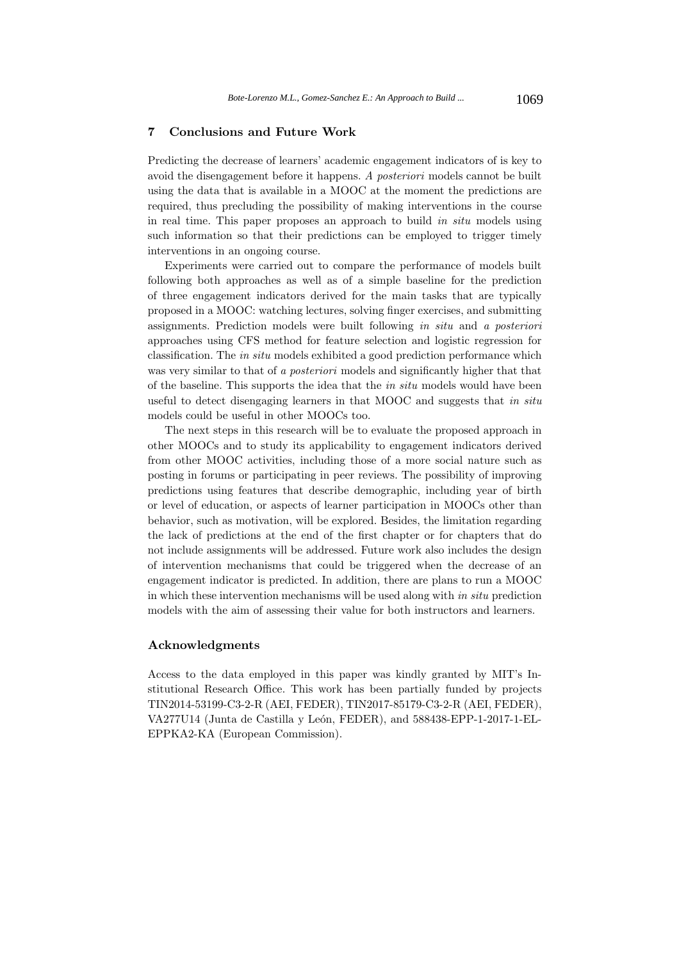# **7 Conclusions and Future Work**

Predicting the decrease of learners' academic engagement indicators of is key to avoid the disengagement before it happens. A posteriori models cannot be built using the data that is available in a MOOC at the moment the predictions are required, thus precluding the possibility of making interventions in the course in real time. This paper proposes an approach to build in situ models using such information so that their predictions can be employed to trigger timely interventions in an ongoing course.

Experiments were carried out to compare the performance of models built following both approaches as well as of a simple baseline for the prediction of three engagement indicators derived for the main tasks that are typically proposed in a MOOC: watching lectures, solving finger exercises, and submitting assignments. Prediction models were built following in situ and a posteriori approaches using CFS method for feature selection and logistic regression for classification. The in situ models exhibited a good prediction performance which was very similar to that of a *posteriori* models and significantly higher that that of the baseline. This supports the idea that the in situ models would have been useful to detect disengaging learners in that MOOC and suggests that in situ models could be useful in other MOOCs too.

The next steps in this research will be to evaluate the proposed approach in other MOOCs and to study its applicability to engagement indicators derived from other MOOC activities, including those of a more social nature such as posting in forums or participating in peer reviews. The possibility of improving predictions using features that describe demographic, including year of birth or level of education, or aspects of learner participation in MOOCs other than behavior, such as motivation, will be explored. Besides, the limitation regarding the lack of predictions at the end of the first chapter or for chapters that do not include assignments will be addressed. Future work also includes the design of intervention mechanisms that could be triggered when the decrease of an engagement indicator is predicted. In addition, there are plans to run a MOOC in which these intervention mechanisms will be used along with in situ prediction models with the aim of assessing their value for both instructors and learners.

#### **Acknowledgments**

Access to the data employed in this paper was kindly granted by MIT's Institutional Research Office. This work has been partially funded by projects TIN2014-53199-C3-2-R (AEI, FEDER), TIN2017-85179-C3-2-R (AEI, FEDER), VA277U14 (Junta de Castilla y León, FEDER), and 588438-EPP-1-2017-1-EL-EPPKA2-KA (European Commission).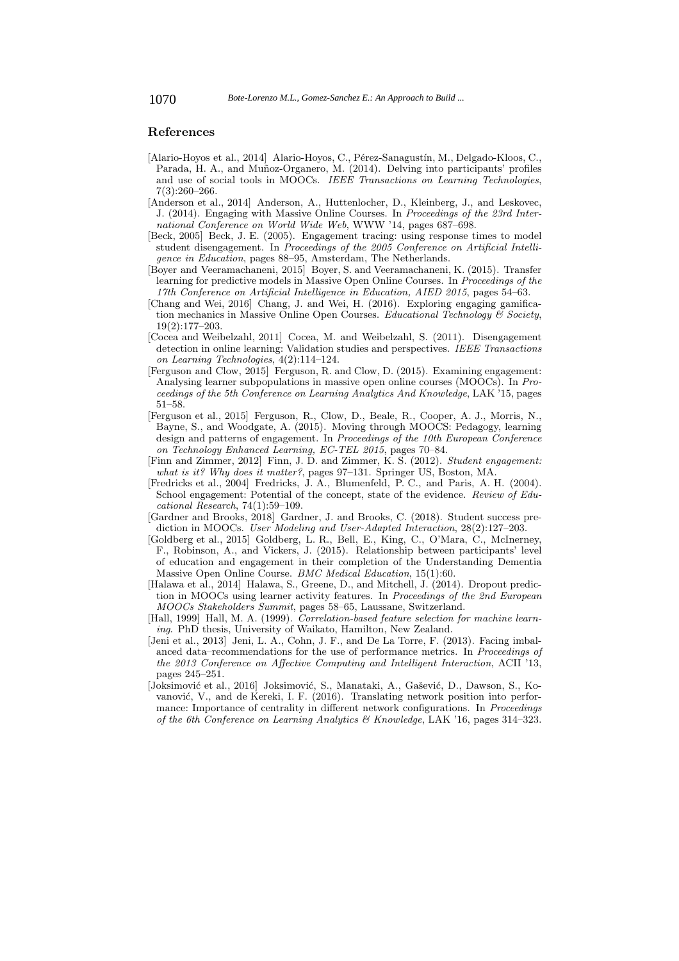# **References**

- [Alario-Hoyos et al., 2014] Alario-Hoyos, C., Pérez-Sanagustín, M., Delgado-Kloos, C., Parada, H. A., and Muñoz-Organero, M. (2014). Delving into participants' profiles and use of social tools in MOOCs. IEEE Transactions on Learning Technologies, 7(3):260–266.
- [Anderson et al., 2014] Anderson, A., Huttenlocher, D., Kleinberg, J., and Leskovec, J. (2014). Engaging with Massive Online Courses. In Proceedings of the 23rd International Conference on World Wide Web, WWW '14, pages 687–698.
- [Beck, 2005] Beck, J. E. (2005). Engagement tracing: using response times to model student disengagement. In Proceedings of the 2005 Conference on Artificial Intelligence in Education, pages 88–95, Amsterdam, The Netherlands.
- [Boyer and Veeramachaneni, 2015] Boyer, S. and Veeramachaneni, K. (2015). Transfer learning for predictive models in Massive Open Online Courses. In Proceedings of the 17th Conference on Artificial Intelligence in Education, AIED 2015, pages 54–63.
- [Chang and Wei, 2016] Chang, J. and Wei, H. (2016). Exploring engaging gamification mechanics in Massive Online Open Courses. Educational Technology  $\mathcal{C}$  Society, 19(2):177–203.
- [Cocea and Weibelzahl, 2011] Cocea, M. and Weibelzahl, S. (2011). Disengagement detection in online learning: Validation studies and perspectives. IEEE Transactions on Learning Technologies, 4(2):114–124.
- [Ferguson and Clow, 2015] Ferguson, R. and Clow, D. (2015). Examining engagement: Analysing learner subpopulations in massive open online courses (MOOCs). In Proceedings of the 5th Conference on Learning Analytics And Knowledge, LAK '15, pages 51–58.
- [Ferguson et al., 2015] Ferguson, R., Clow, D., Beale, R., Cooper, A. J., Morris, N., Bayne, S., and Woodgate, A. (2015). Moving through MOOCS: Pedagogy, learning design and patterns of engagement. In Proceedings of the 10th European Conference on Technology Enhanced Learning, EC-TEL 2015, pages 70–84.
- [Finn and Zimmer, 2012] Finn, J. D. and Zimmer, K. S. (2012). Student engagement: what is it? Why does it matter?, pages 97-131. Springer US, Boston, MA
- [Fredricks et al., 2004] Fredricks, J. A., Blumenfeld, P. C., and Paris, A. H. (2004). School engagement: Potential of the concept, state of the evidence. Review of Educational Research, 74(1):59–109.
- [Gardner and Brooks, 2018] Gardner, J. and Brooks, C. (2018). Student success prediction in MOOCs. User Modeling and User-Adapted Interaction, 28(2):127–203.
- [Goldberg et al., 2015] Goldberg, L. R., Bell, E., King, C., O'Mara, C., McInerney, F., Robinson, A., and Vickers, J. (2015). Relationship between participants' level of education and engagement in their completion of the Understanding Dementia Massive Open Online Course. BMC Medical Education, 15(1):60.
- [Halawa et al., 2014] Halawa, S., Greene, D., and Mitchell, J. (2014). Dropout prediction in MOOCs using learner activity features. In Proceedings of the 2nd European MOOCs Stakeholders Summit, pages 58–65, Laussane, Switzerland.
- [Hall, 1999] Hall, M. A. (1999). Correlation-based feature selection for machine learning. PhD thesis, University of Waikato, Hamilton, New Zealand.
- [Jeni et al., 2013] Jeni, L. A., Cohn, J. F., and De La Torre, F. (2013). Facing imbalanced data–recommendations for the use of performance metrics. In Proceedings of the 2013 Conference on Affective Computing and Intelligent Interaction, ACII '13, pages 245–251.
- [Joksimović et al., 2016] Joksimović, S., Manataki, A., Gašević, D., Dawson, S., Kovanović, V., and de Kereki, I. F. (2016). Translating network position into performance: Importance of centrality in different network configurations. In Proceedings of the 6th Conference on Learning Analytics & Knowledge, LAK '16, pages 314–323.